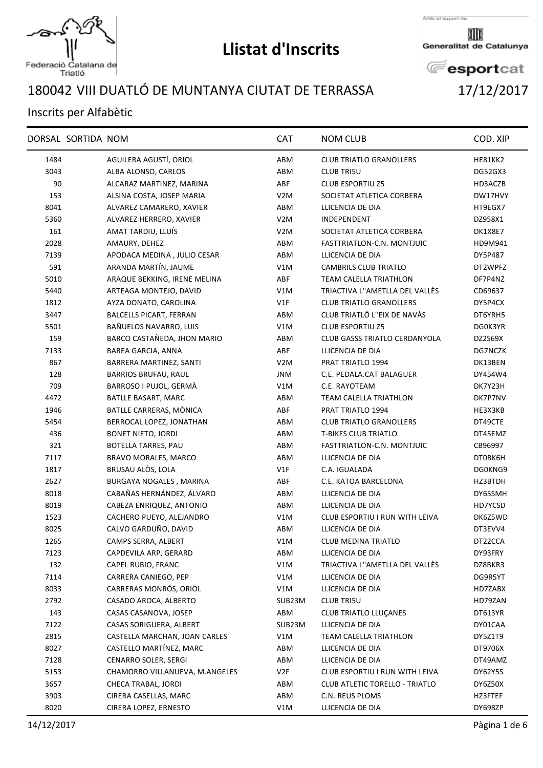

Federació Catalana de<br>Triatló

## **Llistat d'Inscrits**

Amb el suport de

Generalitat de Catalunya

**E**esportcat

## VIII DUATLÓ DE MUNTANYA CIUTAT DE TERRASSA 17/12/2017

## Inscrits per Alfabètic

|      | DORSAL SORTIDA NOM |                                | <b>CAT</b>       | <b>NOM CLUB</b>                      | COD. XIP |
|------|--------------------|--------------------------------|------------------|--------------------------------------|----------|
| 1484 |                    | AGUILERA AGUSTÍ, ORIOL         | ABM              | <b>CLUB TRIATLO GRANOLLERS</b>       | HE81KK2  |
| 3043 |                    | ALBA ALONSO, CARLOS            | ABM              | <b>CLUB TRI5U</b>                    | DG52GX3  |
| 90   |                    | ALCARAZ MARTINEZ, MARINA       | ABF              | <b>CLUB ESPORTIU Z5</b>              | HD3ACZB  |
| 153  |                    | ALSINA COSTA, JOSEP MARIA      | V <sub>2</sub> M | SOCIETAT ATLETICA CORBERA            | DW17HVY  |
| 8041 |                    | ALVAREZ CAMARERO, XAVIER       | ABM              | LLICENCIA DE DIA                     | HT9EGX7  |
| 5360 |                    | ALVAREZ HERRERO, XAVIER        | V <sub>2</sub> M | INDEPENDENT                          | DZ958X1  |
| 161  |                    | AMAT TARDIU, LLUÍS             | V <sub>2</sub> M | SOCIETAT ATLETICA CORBERA            | DK1X8E7  |
| 2028 |                    | AMAURY, DEHEZ                  | ABM              | FASTTRIATLON-C.N. MONTJUIC           | HD9M941  |
| 7139 |                    | APODACA MEDINA, JULIO CESAR    | ABM              | LLICENCIA DE DIA                     | DY5P487  |
| 591  |                    | ARANDA MARTÍN, JAUME           | V1M              | <b>CAMBRILS CLUB TRIATLO</b>         | DT2WPFZ  |
| 5010 |                    | ARAQUE BEKKING, IRENE MELINA   | ABF              | TEAM CALELLA TRIATHLON               | DF7P4NZ  |
| 5440 |                    | ARTEAGA MONTEJO, DAVID         | V1M              | TRIACTIVA L"AMETLLA DEL VALLÈS       | CD69637  |
| 1812 |                    | AYZA DONATO, CAROLINA          | V1F              | <b>CLUB TRIATLO GRANOLLERS</b>       | DY5P4CX  |
| 3447 |                    | <b>BALCELLS PICART, FERRAN</b> | ABM              | CLUB TRIATLÓ L"EIX DE NAVÀS          | DT6YRH5  |
| 5501 |                    | BAÑUELOS NAVARRO, LUIS         | V1M              | <b>CLUB ESPORTIU Z5</b>              | DG0K3YR  |
| 159  |                    | BARCO CASTAÑEDA, JHON MARIO    | ABM              | <b>CLUB GASSS TRIATLO CERDANYOLA</b> | DZ2S69X  |
| 7133 |                    | <b>BAREA GARCIA, ANNA</b>      | ABF              | LLICENCIA DE DIA                     | DG7NCZK  |
| 867  |                    | BARRERA MARTINEZ, SANTI        | V <sub>2</sub> M | PRAT TRIATLO 1994                    | DK13BEN  |
| 128  |                    | <b>BARRIOS BRUFAU, RAUL</b>    | <b>JNM</b>       | C.E. PEDALA.CAT BALAGUER             | DY454W4  |
| 709  |                    | BARROSO I PUJOL, GERMÀ         | V1M              | C.E. RAYOTEAM                        | DK7Y23H  |
| 4472 |                    | BATLLE BASART, MARC            | ABM              | <b>TEAM CALELLA TRIATHLON</b>        | DK7P7NV  |
| 1946 |                    | BATLLE CARRERAS, MÒNICA        | ABF              | PRAT TRIATLO 1994                    | HE3X3KB  |
| 5454 |                    | BERROCAL LOPEZ, JONATHAN       | ABM              | <b>CLUB TRIATLO GRANOLLERS</b>       | DT49CTE  |
| 436  |                    | <b>BONET NIETO, JORDI</b>      | ABM              | <b>T-BIKES CLUB TRIATLO</b>          | DT45EMZ  |
| 321  |                    | <b>BOTELLA TARRES, PAU</b>     | ABM              | FASTTRIATLON-C.N. MONTJUIC           | CB96997  |
| 7117 |                    | BRAVO MORALES, MARCO           | ABM              | LLICENCIA DE DIA                     | DT0BK6H  |
| 1817 |                    | BRUSAU ALÒS, LOLA              | V1F              | C.A. IGUALADA                        | DG0KNG9  |
| 2627 |                    | BURGAYA NOGALES, MARINA        | ABF              | C.E. KATOA BARCELONA                 | HZ3BTDH  |
| 8018 |                    | CABAÑAS HERNÁNDEZ, ÁLVARO      | ABM              | LLICENCIA DE DIA                     | DY65SMH  |
| 8019 |                    | CABEZA ENRIQUEZ, ANTONIO       | ABM              | LLICENCIA DE DIA                     | HD7YCSD  |
| 1523 |                    | CACHERO PUEYO, ALEJANDRO       | V1M              | CLUB ESPORTIU I RUN WITH LEIVA       | DK6Z5WD  |
| 8025 |                    | CALVO GARDUÑO, DAVID           | ABM              | LLICENCIA DE DIA                     | DT3EVV4  |
| 1265 |                    | CAMPS SERRA, ALBERT            | V1M              | <b>CLUB MEDINA TRIATLO</b>           | DT22CCA  |
| 7123 |                    | CAPDEVILA ARP, GERARD          | ABM              | LLICENCIA DE DIA                     | DY93FRY  |
| 132  |                    | CAPEL RUBIO, FRANC             | V1M              | TRIACTIVA L"AMETLLA DEL VALLÈS       | DZ8BKR3  |
| 7114 |                    | CARRERA CANIEGO, PEP           | V1M              | LLICENCIA DE DIA                     | DG9R5YT  |
| 8033 |                    | CARRERAS MONRÓS, ORIOL         | V1M              | LLICENCIA DE DIA                     | HD7ZABX  |
| 2792 |                    | CASADO AROCA, ALBERTO          | SUB23M           | <b>CLUB TRI5U</b>                    | HD79ZAN  |
| 143  |                    | CASAS CASANOVA, JOSEP          | ABM              | <b>CLUB TRIATLO LLUCANES</b>         | DT613YR  |
| 7122 |                    | CASAS SORIGUERA, ALBERT        | SUB23M           | LLICENCIA DE DIA                     | DY01CAA  |
| 2815 |                    | CASTELLA MARCHAN, JOAN CARLES  | V1M              | TEAM CALELLA TRIATHLON               | DY5Z1T9  |
| 8027 |                    | CASTELLO MARTÍNEZ, MARC        | ABM              | LLICENCIA DE DIA                     | DT9706X  |
| 7128 |                    | <b>CENARRO SOLER, SERGI</b>    | ABM              | LLICENCIA DE DIA                     | DT49AMZ  |
| 5153 |                    | CHAMORRO VILLANUEVA, M.ANGELES | V2F              | CLUB ESPORTIU I RUN WITH LEIVA       | DY62Y5S  |
| 3657 |                    | CHECA TRABAL, JORDI            | ABM              | CLUB ATLETIC TORELLO - TRIATLO       | DY6Z50X  |
| 3903 |                    | CIRERA CASELLAS, MARC          | ABM              | C.N. REUS PLOMS                      | HZ3FTEF  |
| 8020 |                    | CIRERA LOPEZ, ERNESTO          | V1M              | LLICENCIA DE DIA                     | DY698ZP  |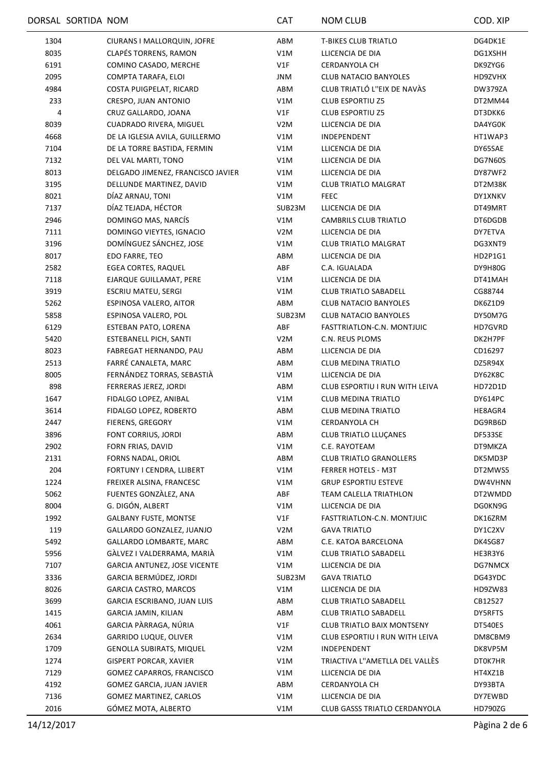|      | DORSAL SORTIDA NOM |                                   | <b>CAT</b>       | <b>NOM CLUB</b>                   | COD. XIP       |
|------|--------------------|-----------------------------------|------------------|-----------------------------------|----------------|
| 1304 |                    | CIURANS I MALLORQUIN, JOFRE       | ABM              | <b>T-BIKES CLUB TRIATLO</b>       | DG4DK1E        |
| 8035 |                    | <b>CLAPÉS TORRENS, RAMON</b>      | V1M              | LLICENCIA DE DIA                  | DG1XSHH        |
| 6191 |                    | COMINO CASADO, MERCHE             | V1F              | <b>CERDANYOLA CH</b>              | DK9ZYG6        |
| 2095 |                    | COMPTA TARAFA, ELOI               | JNM              | <b>CLUB NATACIO BANYOLES</b>      | HD9ZVHX        |
| 4984 |                    | COSTA PUIGPELAT, RICARD           | ABM              | CLUB TRIATLÓ L''EIX DE NAVÀS      | DW379ZA        |
| 233  |                    | CRESPO, JUAN ANTONIO              | V1M              | <b>CLUB ESPORTIU Z5</b>           | DT2MM44        |
| 4    |                    | CRUZ GALLARDO, JOANA              | V1F              | <b>CLUB ESPORTIU Z5</b>           | DT3DKK6        |
| 8039 |                    | CUADRADO RIVERA, MIGUEL           | V <sub>2</sub> M | LLICENCIA DE DIA                  | DA4YG0K        |
| 4668 |                    | DE LA IGLESIA AVILA, GUILLERMO    | V1M              | INDEPENDENT                       | HT1WAP3        |
| 7104 |                    | DE LA TORRE BASTIDA, FERMIN       | V1M              | LLICENCIA DE DIA                  | DY65SAE        |
| 7132 |                    | DEL VAL MARTI, TONO               | V1M              | LLICENCIA DE DIA                  | DG7N60S        |
| 8013 |                    | DELGADO JIMENEZ, FRANCISCO JAVIER | V1M              | LLICENCIA DE DIA                  | DY87WF2        |
| 3195 |                    | DELLUNDE MARTINEZ, DAVID          | V1M              | <b>CLUB TRIATLO MALGRAT</b>       | DT2M38K        |
| 8021 |                    | DÍAZ ARNAU, TONI                  | V1M              | <b>FEEC</b>                       | DY1XNKV        |
| 7137 |                    | DÍAZ TEJADA, HÉCTOR               | SUB23M           | LLICENCIA DE DIA                  | DT49MRT        |
| 2946 |                    | DOMINGO MAS, NARCÍS               | V1M              | <b>CAMBRILS CLUB TRIATLO</b>      | DT6DGDB        |
| 7111 |                    | DOMINGO VIEYTES, IGNACIO          | V <sub>2</sub> M | LLICENCIA DE DIA                  | DY7ETVA        |
| 3196 |                    | DOMÍNGUEZ SÁNCHEZ, JOSE           | V1M              | <b>CLUB TRIATLO MALGRAT</b>       | DG3XNT9        |
|      |                    | EDO FARRE, TEO                    | ABM              | LLICENCIA DE DIA                  |                |
| 8017 |                    | <b>EGEA CORTES, RAQUEL</b>        |                  | C.A. IGUALADA                     | HD2P1G1        |
| 2582 |                    |                                   | ABF              |                                   | DY9H80G        |
| 7118 |                    | EJARQUE GUILLAMAT, PERE           | V1M              | LLICENCIA DE DIA                  | DT41MAH        |
| 3919 |                    | <b>ESCRIU MATEU, SERGI</b>        | V1M              | <b>CLUB TRIATLO SABADELL</b>      | CG88744        |
| 5262 |                    | ESPINOSA VALERO, AITOR            | ABM              | <b>CLUB NATACIO BANYOLES</b>      | DK6Z1D9        |
| 5858 |                    | ESPINOSA VALERO, POL              | SUB23M           | <b>CLUB NATACIO BANYOLES</b>      | DY50M7G        |
| 6129 |                    | ESTEBAN PATO, LORENA              | ABF              | FASTTRIATLON-C.N. MONTJUIC        | HD7GVRD        |
| 5420 |                    | <b>ESTEBANELL PICH, SANTI</b>     | V <sub>2</sub> M | C.N. REUS PLOMS                   | DK2H7PF        |
| 8023 |                    | FABREGAT HERNANDO, PAU            | ABM              | LLICENCIA DE DIA                  | CD16297        |
| 2513 |                    | FARRÉ CANALETA, MARC              | ABM              | <b>CLUB MEDINA TRIATLO</b>        | DZ5R94X        |
| 8005 |                    | FERNÁNDEZ TORRAS, SEBASTIÀ        | V1M              | LLICENCIA DE DIA                  | DY62K8C        |
| 898  |                    | FERRERAS JEREZ, JORDI             | ABM              | CLUB ESPORTIU I RUN WITH LEIVA    | HD72D1D        |
| 1647 |                    | FIDALGO LOPEZ, ANIBAL             | V1M              | <b>CLUB MEDINA TRIATLO</b>        | DY614PC        |
| 3614 |                    | FIDALGO LOPEZ, ROBERTO            | ABM              | <b>CLUB MEDINA TRIATLO</b>        | HE8AGR4        |
| 2447 |                    | FIERENS, GREGORY                  | V1M              | CERDANYOLA CH                     | DG9RB6D        |
| 3896 |                    | FONT CORRIUS, JORDI               | ABM              | <b>CLUB TRIATLO LLUÇANES</b>      | DF533SE        |
| 2902 |                    | FORN FRIAS, DAVID                 | V1M              | C.E. RAYOTEAM                     | DT9MKZA        |
| 2131 |                    | FORNS NADAL, ORIOL                | ABM              | <b>CLUB TRIATLO GRANOLLERS</b>    | DK5MD3P        |
| 204  |                    | FORTUNY I CENDRA, LLIBERT         | V1M              | FERRER HOTELS - M3T               | DT2MWS5        |
| 1224 |                    | FREIXER ALSINA, FRANCESC          | V1M              | <b>GRUP ESPORTIU ESTEVE</b>       | DW4VHNN        |
| 5062 |                    | FUENTES GONZÀLEZ, ANA             | ABF              | TEAM CALELLA TRIATHLON            | DT2WMDD        |
| 8004 |                    | G. DIGÓN, ALBERT                  | V1M              | LLICENCIA DE DIA                  | DG0KN9G        |
| 1992 |                    | <b>GALBANY FUSTE, MONTSE</b>      | V1F              | FASTTRIATLON-C.N. MONTJUIC        | DK16ZRM        |
| 119  |                    | GALLARDO GONZALEZ, JUANJO         | V <sub>2</sub> M | <b>GAVA TRIATLO</b>               | DY1C2XV        |
| 5492 |                    | GALLARDO LOMBARTE, MARC           | ABM              | C.E. KATOA BARCELONA              | DK4SG87        |
| 5956 |                    | GÀLVEZ I VALDERRAMA, MARIÀ        | V1M              | <b>CLUB TRIATLO SABADELL</b>      | HE3R3Y6        |
| 7107 |                    | GARCIA ANTUNEZ, JOSE VICENTE      | V1M              | LLICENCIA DE DIA                  | DG7NMCX        |
| 3336 |                    | GARCIA BERMÚDEZ, JORDI            | SUB23M           | <b>GAVA TRIATLO</b>               | DG43YDC        |
| 8026 |                    | <b>GARCIA CASTRO, MARCOS</b>      | V1M              | LLICENCIA DE DIA                  | HD9ZW83        |
| 3699 |                    | GARCIA ESCRIBANO, JUAN LUIS       | ABM              | <b>CLUB TRIATLO SABADELL</b>      | CB12527        |
| 1415 |                    | GARCIA JAMIN, KILIAN              | ABM              | <b>CLUB TRIATLO SABADELL</b>      | <b>DY5RFTS</b> |
| 4061 |                    | GARCIA PÀRRAGA, NÚRIA             | V1F              | <b>CLUB TRIATLO BAIX MONTSENY</b> | DT540ES        |
| 2634 |                    | <b>GARRIDO LUQUE, OLIVER</b>      | V1M              | CLUB ESPORTIU I RUN WITH LEIVA    | DM8CBM9        |
| 1709 |                    | <b>GENOLLA SUBIRATS, MIQUEL</b>   | V <sub>2</sub> M | INDEPENDENT                       | DK8VP5M        |
| 1274 |                    | <b>GISPERT PORCAR, XAVIER</b>     | V1M              | TRIACTIVA L"AMETLLA DEL VALLÉS    | DT0K7HR        |
| 7129 |                    | GOMEZ CAPARROS, FRANCISCO         | V1M              | LLICENCIA DE DIA                  | HT4XZ1B        |
| 4192 |                    | GOMEZ GARCIA, JUAN JAVIER         | ABM              | CERDANYOLA CH                     | DY93BTA        |
| 7136 |                    | GOMEZ MARTINEZ, CARLOS            | V1M              | LLICENCIA DE DIA                  | DY7EWBD        |
| 2016 |                    | GÓMEZ MOTA, ALBERTO               | V1M              | CLUB GASSS TRIATLO CERDANYOLA     | <b>HD790ZG</b> |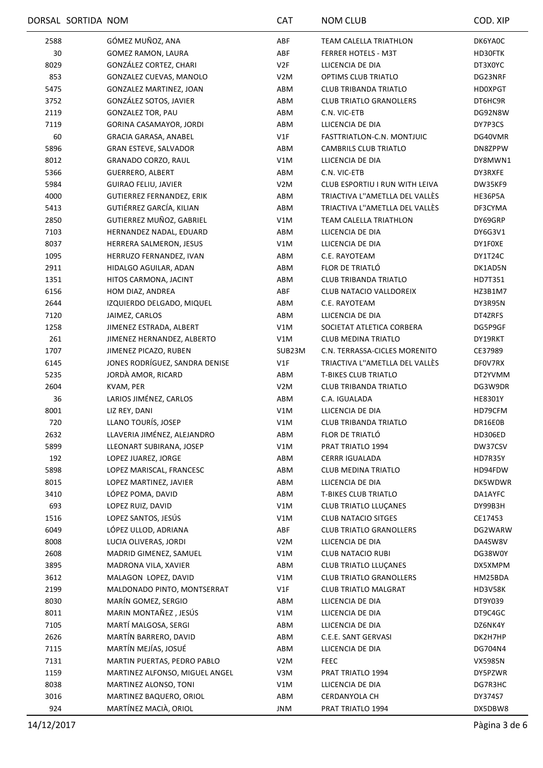|      | DORSAL SORTIDA NOM |                                | <b>CAT</b>       | <b>NOM CLUB</b>                | COD. XIP       |
|------|--------------------|--------------------------------|------------------|--------------------------------|----------------|
| 2588 |                    | GÓMEZ MUÑOZ, ANA               | ABF              | <b>TEAM CALELLA TRIATHLON</b>  | DK6YA0C        |
| 30   |                    | GOMEZ RAMON, LAURA             | ABF              | FERRER HOTELS - M3T            | HD30FTK        |
| 8029 |                    | GONZÁLEZ CORTEZ, CHARI         | V2F              | LLICENCIA DE DIA               | DT3X0YC        |
| 853  |                    | GONZALEZ CUEVAS, MANOLO        | V2M              | <b>OPTIMS CLUB TRIATLO</b>     | DG23NRF        |
| 5475 |                    | <b>GONZALEZ MARTINEZ, JOAN</b> | ABM              | <b>CLUB TRIBANDA TRIATLO</b>   | HD0XPGT        |
| 3752 |                    | GONZÁLEZ SOTOS, JAVIER         | ABM              | <b>CLUB TRIATLO GRANOLLERS</b> | DT6HC9R        |
| 2119 |                    | <b>GONZALEZ TOR, PAU</b>       | ABM              | C.N. VIC-ETB                   | DG92N8W        |
| 7119 |                    | GORINA CASAMAYOR, JORDI        | ABM              | LLICENCIA DE DIA               | DY7P3CS        |
| 60   |                    | <b>GRACIA GARASA, ANABEL</b>   | V1F              | FASTTRIATLON-C.N. MONTJUIC     | DG40VMR        |
| 5896 |                    | <b>GRAN ESTEVE, SALVADOR</b>   | ABM              | <b>CAMBRILS CLUB TRIATLO</b>   | DN8ZPPW        |
| 8012 |                    | GRANADO CORZO, RAUL            | V1M              | LLICENCIA DE DIA               | DY8MWN1        |
| 5366 |                    | <b>GUERRERO, ALBERT</b>        | ABM              | C.N. VIC-ETB                   | DY3RXFE        |
| 5984 |                    | <b>GUIRAO FELIU, JAVIER</b>    | V <sub>2</sub> M | CLUB ESPORTIU I RUN WITH LEIVA | DW35KF9        |
| 4000 |                    | GUTIERREZ FERNANDEZ, ERIK      | ABM              | TRIACTIVA L"AMETLLA DEL VALLÈS | <b>HE36P5A</b> |
| 5413 |                    | GUTIÉRREZ GARCÍA, KILIAN       | ABM              | TRIACTIVA L"AMETLLA DEL VALLÈS | DF3CYMA        |
| 2850 |                    | GUTIERREZ MUÑOZ, GABRIEL       | V1M              | TEAM CALELLA TRIATHLON         | DY69GRP        |
|      |                    |                                |                  |                                |                |
| 7103 |                    | HERNANDEZ NADAL, EDUARD        | ABM              | LLICENCIA DE DIA               | DY6G3V1        |
| 8037 |                    | HERRERA SALMERON, JESUS        | V1M              | LLICENCIA DE DIA               | DY1F0XE        |
| 1095 |                    | HERRUZO FERNANDEZ, IVAN        | ABM              | C.E. RAYOTEAM                  | DY1T24C        |
| 2911 |                    | HIDALGO AGUILAR, ADAN          | ABM              | FLOR DE TRIATLÓ                | DK1AD5N        |
| 1351 |                    | HITOS CARMONA, JACINT          | ABM              | <b>CLUB TRIBANDA TRIATLO</b>   | HD7T351        |
| 6156 |                    | HOM DIAZ, ANDREA               | ABF              | CLUB NATACIO VALLDOREIX        | HZ3B1M7        |
| 2644 |                    | IZQUIERDO DELGADO, MIQUEL      | ABM              | C.E. RAYOTEAM                  | DY3R95N        |
| 7120 |                    | JAIMEZ, CARLOS                 | ABM              | LLICENCIA DE DIA               | DT4ZRFS        |
| 1258 |                    | JIMENEZ ESTRADA, ALBERT        | V1M              | SOCIETAT ATLETICA CORBERA      | DG5P9GF        |
| 261  |                    | JIMENEZ HERNANDEZ, ALBERTO     | V1M              | <b>CLUB MEDINA TRIATLO</b>     | DY19RKT        |
| 1707 |                    | JIMENEZ PICAZO, RUBEN          | SUB23M           | C.N. TERRASSA-CICLES MORENITO  | CE37989        |
| 6145 |                    | JONES RODRÍGUEZ, SANDRA DENISE | V1F              | TRIACTIVA L"AMETLLA DEL VALLÈS | DF0V7RX        |
| 5235 |                    | JORDÀ AMOR, RICARD             | ABM              | <b>T-BIKES CLUB TRIATLO</b>    | DT2YVMM        |
| 2604 |                    | KVAM, PER                      | V <sub>2</sub> M | <b>CLUB TRIBANDA TRIATLO</b>   | DG3W9DR        |
| 36   |                    | LARIOS JIMÉNEZ, CARLOS         | ABM              | C.A. IGUALADA                  | <b>HE8301Y</b> |
| 8001 |                    | LIZ REY, DANI                  | V1M              | LLICENCIA DE DIA               | HD79CFM        |
| 720  |                    | LLANO TOURÍS, JOSEP            | V1M              | CLUB TRIBANDA TRIATLO          | DR16E0B        |
| 2632 |                    | LLAVERIA JIMÉNEZ, ALEJANDRO    | ABM              | FLOR DE TRIATLÓ                | HD306ED        |
| 5899 |                    | LLEONART SUBIRANA, JOSEP       | V1M              | PRAT TRIATLO 1994              | DW37CSV        |
| 192  |                    | LOPEZ JUAREZ, JORGE            | ABM              | <b>CERRR IGUALADA</b>          | HD7R35Y        |
| 5898 |                    | LOPEZ MARISCAL, FRANCESC       | ABM              | <b>CLUB MEDINA TRIATLO</b>     | HD94FDW        |
| 8015 |                    | LOPEZ MARTINEZ, JAVIER         | ABM              | LLICENCIA DE DIA               | DK5WDWR        |
| 3410 |                    | LÓPEZ POMA, DAVID              | ABM              | <b>T-BIKES CLUB TRIATLO</b>    | DA1AYFC        |
| 693  |                    | LOPEZ RUIZ, DAVID              | V1M              | <b>CLUB TRIATLO LLUÇANES</b>   | DY99B3H        |
| 1516 |                    | LOPEZ SANTOS, JESÚS            | V1M              | <b>CLUB NATACIO SITGES</b>     | CE17453        |
| 6049 |                    | LÓPEZ ULLOD, ADRIANA           | ABF              | <b>CLUB TRIATLO GRANOLLERS</b> | DG2WARW        |
| 8008 |                    | LUCIA OLIVERAS, JORDI          | V <sub>2</sub> M | LLICENCIA DE DIA               | DA4SW8V        |
| 2608 |                    | MADRID GIMENEZ, SAMUEL         | V1M              | <b>CLUB NATACIO RUBI</b>       | DG38W0Y        |
| 3895 |                    | MADRONA VILA, XAVIER           | ABM              | <b>CLUB TRIATLO LLUÇANES</b>   | DX5XMPM        |
| 3612 |                    | MALAGON LOPEZ, DAVID           | V1M              | <b>CLUB TRIATLO GRANOLLERS</b> | HM25BDA        |
| 2199 |                    | MALDONADO PINTO, MONTSERRAT    | V1F              | <b>CLUB TRIATLO MALGRAT</b>    | HD3V58K        |
| 8030 |                    | MARÍN GOMEZ, SERGIO            | ABM              | LLICENCIA DE DIA               | DT9Y039        |
| 8011 |                    | MARIN MONTAÑEZ, JESÚS          | V1M              | LLICENCIA DE DIA               | DT9C4GC        |
| 7105 |                    | MARTÍ MALGOSA, SERGI           | ABM              | LLICENCIA DE DIA               | DZ6NK4Y        |
| 2626 |                    | MARTÍN BARRERO, DAVID          | ABM              | C.E.E. SANT GERVASI            | DK2H7HP        |
| 7115 |                    | MARTÍN MEJÍAS, JOSUÉ           | ABM              | LLICENCIA DE DIA               | DG704N4        |
| 7131 |                    | MARTIN PUERTAS, PEDRO PABLO    | V <sub>2</sub> M | <b>FEEC</b>                    | VX5985N        |
| 1159 |                    | MARTINEZ ALFONSO, MIGUEL ANGEL | V3M              | PRAT TRIATLO 1994              | DY5PZWR        |
| 8038 |                    | MARTINEZ ALONSO, TONI          | V1M              | LLICENCIA DE DIA               | DG7R3HC        |
| 3016 |                    | MARTINEZ BAQUERO, ORIOL        | ABM              | CERDANYOLA CH                  | DY374S7        |
| 924  |                    | MARTÍNEZ MACIÀ, ORIOL          | <b>JNM</b>       | PRAT TRIATLO 1994              | DX5DBW8        |
|      |                    |                                |                  |                                |                |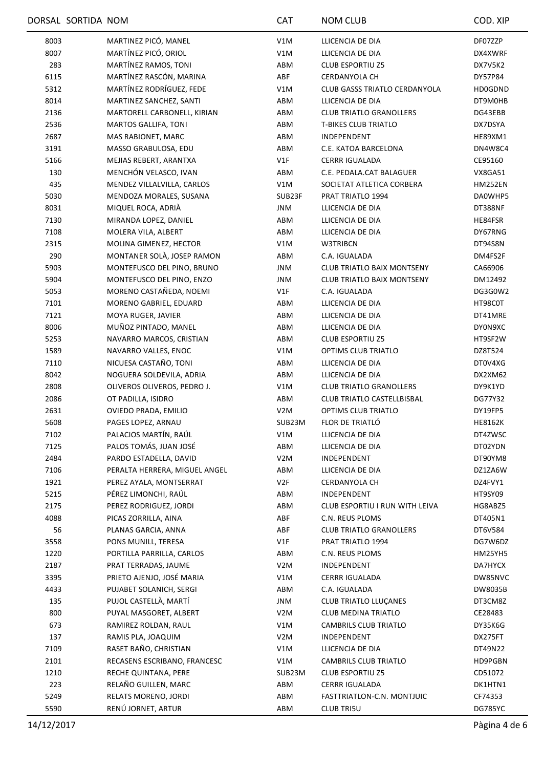|              | DORSAL SORTIDA NOM |                               | <b>CAT</b>       | <b>NOM CLUB</b>                                | COD. XIP       |
|--------------|--------------------|-------------------------------|------------------|------------------------------------------------|----------------|
| 8003         |                    | MARTINEZ PICÓ, MANEL          | V1M              | LLICENCIA DE DIA                               | DF07ZZP        |
| 8007         |                    | MARTÍNEZ PICÓ, ORIOL          | V1M              | LLICENCIA DE DIA                               | DX4XWRF        |
| 283          |                    | MARTÍNEZ RAMOS, TONI          | ABM              | <b>CLUB ESPORTIU Z5</b>                        | DX7V5K2        |
| 6115         |                    | MARTÍNEZ RASCÓN, MARINA       | ABF              | <b>CERDANYOLA CH</b>                           | DY57P84        |
| 5312         |                    | MARTÍNEZ RODRÍGUEZ, FEDE      | V1M              | <b>CLUB GASSS TRIATLO CERDANYOLA</b>           | <b>HD0GDND</b> |
| 8014         |                    | MARTINEZ SANCHEZ, SANTI       | ABM              | LLICENCIA DE DIA                               | DT9M0HB        |
| 2136         |                    | MARTORELL CARBONELL, KIRIAN   | ABM              | <b>CLUB TRIATLO GRANOLLERS</b>                 | DG43EBB        |
| 2536         |                    | <b>MARTOS GALLIFA, TONI</b>   | ABM              | <b>T-BIKES CLUB TRIATLO</b>                    | DX7DSYA        |
| 2687         |                    | MAS RABIONET, MARC            | ABM              | INDEPENDENT                                    | HE89XM1        |
| 3191         |                    | MASSO GRABULOSA, EDU          | ABM              | C.E. KATOA BARCELONA                           | DN4W8C4        |
| 5166         |                    | MEJIAS REBERT, ARANTXA        | V1F              | <b>CERRR IGUALADA</b>                          | CE95160        |
| 130          |                    | MENCHÓN VELASCO, IVAN         | ABM              | C.E. PEDALA.CAT BALAGUER                       | VX8GA51        |
| 435          |                    | MENDEZ VILLALVILLA, CARLOS    | V1M              | SOCIETAT ATLETICA CORBERA                      | <b>HM252EN</b> |
| 5030         |                    | MENDOZA MORALES, SUSANA       | SUB23F           | PRAT TRIATLO 1994                              | DA0WHP5        |
| 8031         |                    | MIQUEL ROCA, ADRIÀ            | <b>JNM</b>       | LLICENCIA DE DIA                               | DT388NF        |
| 7130         |                    | MIRANDA LOPEZ, DANIEL         | ABM              | LLICENCIA DE DIA                               | HE84FSR        |
| 7108         |                    | MOLERA VILA, ALBERT           | ABM              | LLICENCIA DE DIA                               | DY67RNG        |
| 2315         |                    | MOLINA GIMENEZ, HECTOR        | V1M              | W3TRIBCN                                       | DT94S8N        |
| 290          |                    | MONTANER SOLA, JOSEP RAMON    | ABM              | C.A. IGUALADA                                  | DM4FS2F        |
| 5903         |                    | MONTEFUSCO DEL PINO, BRUNO    | JNM              | <b>CLUB TRIATLO BAIX MONTSENY</b>              | CA66906        |
| 5904         |                    | MONTEFUSCO DEL PINO, ENZO     | JNM              | <b>CLUB TRIATLO BAIX MONTSENY</b>              | DM12492        |
| 5053         |                    | MORENO CASTAÑEDA, NOEMI       | V1F              | C.A. IGUALADA                                  | DG3G0W2        |
| 7101         |                    | MORENO GABRIEL, EDUARD        | ABM              | LLICENCIA DE DIA                               | HT98C0T        |
| 7121         |                    | MOYA RUGER, JAVIER            | ABM              | LLICENCIA DE DIA                               | DT41MRE        |
| 8006         |                    | MUÑOZ PINTADO, MANEL          | ABM              | LLICENCIA DE DIA                               | DY0N9XC        |
|              |                    |                               |                  |                                                |                |
| 5253<br>1589 |                    | NAVARRO MARCOS, CRISTIAN      | ABM<br>V1M       | <b>CLUB ESPORTIU Z5</b><br>OPTIMS CLUB TRIATLO | HT9SF2W        |
|              |                    | NAVARRO VALLES, ENOC          |                  |                                                | DZ8T524        |
| 7110         |                    | NICUESA CASTAÑO, TONI         | ABM              | LLICENCIA DE DIA                               | DT0V4XG        |
| 8042         |                    | NOGUERA SOLDEVILA, ADRIA      | ABM              | LLICENCIA DE DIA                               | DX2XM62        |
| 2808         |                    | OLIVEROS OLIVEROS, PEDRO J.   | V1M              | <b>CLUB TRIATLO GRANOLLERS</b>                 | DY9K1YD        |
| 2086         |                    | OT PADILLA, ISIDRO            | ABM              | CLUB TRIATLO CASTELLBISBAL                     | DG77Y32        |
| 2631         |                    | OVIEDO PRADA, EMILIO          | V <sub>2</sub> M | OPTIMS CLUB TRIATLO                            | DY19FP5        |
| 5608         |                    | PAGES LOPEZ, ARNAU            | SUB23M           | FLOR DE TRIATLÓ                                | <b>HE8162K</b> |
| 7102         |                    | PALACIOS MARTÍN, RAÚL         | V1M              | LLICENCIA DE DIA                               | DT4ZWSC        |
| 7125         |                    | PALOS TOMÁS, JUAN JOSÉ        | ABM              | LLICENCIA DE DIA                               | DT02YDN        |
| 2484         |                    | PARDO ESTADELLA, DAVID        | V <sub>2</sub> M | INDEPENDENT                                    | DT90YM8        |
| 7106         |                    | PERALTA HERRERA, MIGUEL ANGEL | ABM              | LLICENCIA DE DIA                               | DZ1ZA6W        |
| 1921         |                    | PEREZ AYALA, MONTSERRAT       | V2F              | CERDANYOLA CH                                  | DZ4FVY1        |
| 5215         |                    | PÉREZ LIMONCHI, RAÚL          | ABM              | INDEPENDENT                                    | HT9SY09        |
| 2175         |                    | PEREZ RODRIGUEZ, JORDI        | ABM              | CLUB ESPORTIU I RUN WITH LEIVA                 | HG8ABZ5        |
| 4088         |                    | PICAS ZORRILLA, AINA          | ABF              | C.N. REUS PLOMS                                | DT405N1        |
| 56           |                    | PLANAS GARCIA, ANNA           | ABF              | <b>CLUB TRIATLO GRANOLLERS</b>                 | DT6V584        |
| 3558         |                    | PONS MUNILL, TERESA           | V1F              | PRAT TRIATLO 1994                              | DG7W6DZ        |
| 1220         |                    | PORTILLA PARRILLA, CARLOS     | ABM              | C.N. REUS PLOMS                                | HM25YH5        |
| 2187         |                    | PRAT TERRADAS, JAUME          | V2M              | INDEPENDENT                                    | DA7HYCX        |
| 3395         |                    | PRIETO AJENJO, JOSÉ MARIA     | V1M              | <b>CERRR IGUALADA</b>                          | DW85NVC        |
| 4433         |                    | PUJABET SOLANICH, SERGI       | ABM              | C.A. IGUALADA                                  | DW8035B        |
| 135          |                    | PUJOL CASTELLÀ, MARTÍ         | JNM              | <b>CLUB TRIATLO LLUÇANES</b>                   | DT3CM8Z        |
| 800          |                    | PUYAL MASGORET, ALBERT        | V <sub>2</sub> M | CLUB MEDINA TRIATLO                            | CE28483        |
| 673          |                    | RAMIREZ ROLDAN, RAUL          | V1M              | CAMBRILS CLUB TRIATLO                          | DY35K6G        |
| 137          |                    | RAMIS PLA, JOAQUIM            | V <sub>2</sub> M | INDEPENDENT                                    | DX275FT        |
| 7109         |                    | RASET BAÑO, CHRISTIAN         | V1M              | LLICENCIA DE DIA                               | DT49N22        |
| 2101         |                    | RECASENS ESCRIBANO, FRANCESC  | V1M              | CAMBRILS CLUB TRIATLO                          | HD9PGBN        |
| 1210         |                    | RECHE QUINTANA, PERE          | SUB23M           | <b>CLUB ESPORTIU Z5</b>                        | CD51072        |
| 223          |                    | RELAÑO GUILLEN, MARC          | ABM              | <b>CERRR IGUALADA</b>                          | DK1HTN1        |
| 5249         |                    | RELATS MORENO, JORDI          | ABM              | FASTTRIATLON-C.N. MONTJUIC                     | CF74353        |
| 5590         |                    | RENÚ JORNET, ARTUR            | ABM              | <b>CLUB TRI5U</b>                              | <b>DG785YC</b> |
|              |                    |                               |                  |                                                |                |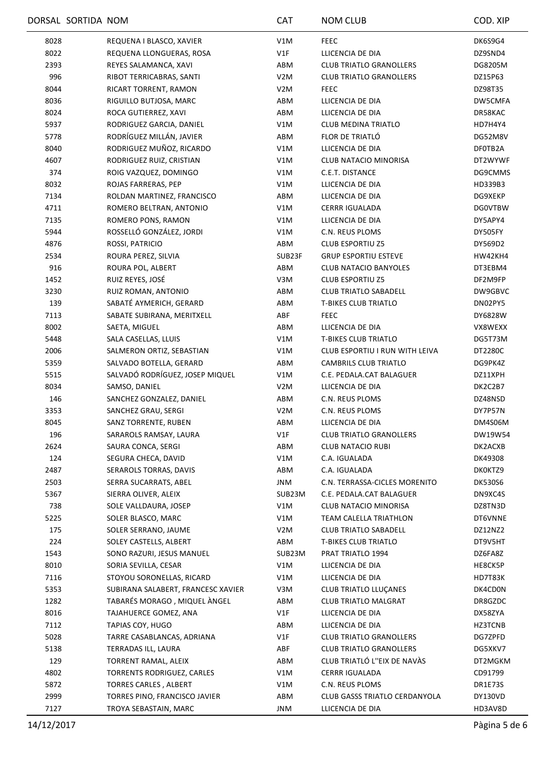|      | DORSAL SORTIDA NOM |                                    | <b>CAT</b>       | <b>NOM CLUB</b>                | COD. XIP       |
|------|--------------------|------------------------------------|------------------|--------------------------------|----------------|
| 8028 |                    | REQUENA I BLASCO, XAVIER           | V1M              | <b>FEEC</b>                    | DK6S9G4        |
| 8022 |                    | REQUENA LLONGUERAS, ROSA           | V1F              | LLICENCIA DE DIA               | DZ9SND4        |
| 2393 |                    | REYES SALAMANCA, XAVI              | ABM              | <b>CLUB TRIATLO GRANOLLERS</b> | DG8205M        |
| 996  |                    | RIBOT TERRICABRAS, SANTI           | V <sub>2</sub> M | <b>CLUB TRIATLO GRANOLLERS</b> | DZ15P63        |
| 8044 |                    | RICART TORRENT, RAMON              | V <sub>2</sub> M | <b>FEEC</b>                    | DZ98T35        |
| 8036 |                    | RIGUILLO BUTJOSA, MARC             | ABM              | LLICENCIA DE DIA               | DW5CMFA        |
| 8024 |                    | ROCA GUTIERREZ, XAVI               | ABM              | LLICENCIA DE DIA               | DR58KAC        |
| 5937 |                    | RODRIGUEZ GARCIA, DANIEL           | V1M              | <b>CLUB MEDINA TRIATLO</b>     | HD7H4Y4        |
| 5778 |                    | RODRÍGUEZ MILLÁN, JAVIER           | ABM              | FLOR DE TRIATLÓ                | DG52M8V        |
| 8040 |                    | RODRIGUEZ MUÑOZ, RICARDO           | V1M              | LLICENCIA DE DIA               | DF0TB2A        |
| 4607 |                    | RODRIGUEZ RUIZ, CRISTIAN           | V1M              | CLUB NATACIO MINORISA          | DT2WYWF        |
| 374  |                    | ROIG VAZQUEZ, DOMINGO              | V1M              | C.E.T. DISTANCE                | DG9CMMS        |
| 8032 |                    | ROJAS FARRERAS, PEP                | V1M              | LLICENCIA DE DIA               | HD339B3        |
| 7134 |                    | ROLDAN MARTINEZ, FRANCISCO         | ABM              | LLICENCIA DE DIA               | DG9XEKP        |
| 4711 |                    | ROMERO BELTRAN, ANTONIO            | V1M              | <b>CERRR IGUALADA</b>          | <b>DGOVTBW</b> |
| 7135 |                    | ROMERO PONS, RAMON                 | V1M              | LLICENCIA DE DIA               | DY5APY4        |
| 5944 |                    | ROSSELLÓ GONZÁLEZ, JORDI           | V1M              | C.N. REUS PLOMS                | DY505FY        |
| 4876 |                    | ROSSI, PATRICIO                    | ABM              | <b>CLUB ESPORTIU Z5</b>        | DY569D2        |
| 2534 |                    | ROURA PEREZ, SILVIA                | SUB23F           | <b>GRUP ESPORTIU ESTEVE</b>    | HW42KH4        |
| 916  |                    | ROURA POL, ALBERT                  | ABM              | <b>CLUB NATACIO BANYOLES</b>   | DT3EBM4        |
| 1452 |                    | RUIZ REYES, JOSÉ                   | V3M              | <b>CLUB ESPORTIU Z5</b>        | DF2M9FP        |
| 3230 |                    | RUIZ ROMAN, ANTONIO                | ABM              | <b>CLUB TRIATLO SABADELL</b>   | DW9GBVC        |
| 139  |                    | SABATÉ AYMERICH, GERARD            | ABM              | <b>T-BIKES CLUB TRIATLO</b>    | DN02PY5        |
| 7113 |                    | SABATE SUBIRANA, MERITXELL         | ABF              | <b>FEEC</b>                    | DY6828W        |
| 8002 |                    | SAETA, MIGUEL                      | ABM              | LLICENCIA DE DIA               | VX8WEXX        |
| 5448 |                    | SALA CASELLAS, LLUIS               | V1M              | <b>T-BIKES CLUB TRIATLO</b>    | DG5T73M        |
| 2006 |                    | SALMERON ORTIZ, SEBASTIAN          | V1M              | CLUB ESPORTIU I RUN WITH LEIVA | DT2280C        |
| 5359 |                    | SALVADO BOTELLA, GERARD            | ABM              | CAMBRILS CLUB TRIATLO          | DG9PK4Z        |
| 5515 |                    | SALVADÓ RODRÍGUEZ, JOSEP MIQUEL    | V1M              | C.E. PEDALA.CAT BALAGUER       | DZ11XPH        |
| 8034 |                    | SAMSO, DANIEL                      | V2M              | LLICENCIA DE DIA               | DK2C2B7        |
| 146  |                    | SANCHEZ GONZALEZ, DANIEL           | ABM              | C.N. REUS PLOMS                | DZ48NSD        |
| 3353 |                    | SANCHEZ GRAU, SERGI                | V <sub>2</sub> M | C.N. REUS PLOMS                | DY7P57N        |
| 8045 |                    | SANZ TORRENTE, RUBEN               | ABM              | LLICENCIA DE DIA               | DM4S06M        |
| 196  |                    | SARAROLS RAMSAY, LAURA             | V1F              | <b>CLUB TRIATLO GRANOLLERS</b> | DW19W54        |
| 2624 |                    | SAURA CONCA, SERGI                 | ABM              | <b>CLUB NATACIO RUBI</b>       | DK2ACXB        |
| 124  |                    | SEGURA CHECA, DAVID                | V1M              | C.A. IGUALADA                  | DK49308        |
| 2487 |                    | SERAROLS TORRAS, DAVIS             | ABM              | C.A. IGUALADA                  | DK0KTZ9        |
| 2503 |                    | SERRA SUCARRATS, ABEL              | JNM              | C.N. TERRASSA-CICLES MORENITO  | DK530S6        |
| 5367 |                    | SIERRA OLIVER, ALEIX               | SUB23M           | C.E. PEDALA.CAT BALAGUER       | DN9XC4S        |
| 738  |                    | SOLE VALLDAURA, JOSEP              | V1M              | CLUB NATACIO MINORISA          | DZ8TN3D        |
| 5225 |                    | SOLER BLASCO, MARC                 | V1M              | TEAM CALELLA TRIATHLON         | DT6VNNE        |
| 175  |                    | SOLER SERRANO, JAUME               | V <sub>2</sub> M | <b>CLUB TRIATLO SABADELL</b>   | DZ12NZ2        |
| 224  |                    | SOLEY CASTELLS, ALBERT             | ABM              | <b>T-BIKES CLUB TRIATLO</b>    | DT9V5HT        |
| 1543 |                    | SONO RAZURI, JESUS MANUEL          | SUB23M           | PRAT TRIATLO 1994              | DZ6FA8Z        |
| 8010 |                    | SORIA SEVILLA, CESAR               | V1M              | LLICENCIA DE DIA               | HE8CK5P        |
| 7116 |                    | STOYOU SORONELLAS, RICARD          | V1M              | LLICENCIA DE DIA               | HD7T83K        |
| 5353 |                    | SUBIRANA SALABERT, FRANCESC XAVIER | V3M              | <b>CLUB TRIATLO LLUÇANES</b>   | DK4CD0N        |
| 1282 |                    | TABARÉS MORAGO, MIQUEL ÀNGEL       | ABM              | CLUB TRIATLO MALGRAT           | DR8GZDC        |
| 8016 |                    | TAJAHUERCE GOMEZ, ANA              | V1F              | LLICENCIA DE DIA               | DX58ZYA        |
| 7112 |                    | TAPIAS COY, HUGO                   | ABM              | LLICENCIA DE DIA               | HZ3TCNB        |
| 5028 |                    | TARRE CASABLANCAS, ADRIANA         | V1F              | <b>CLUB TRIATLO GRANOLLERS</b> | DG7ZPFD        |
| 5138 |                    | TERRADAS ILL, LAURA                | ABF              | <b>CLUB TRIATLO GRANOLLERS</b> | DG5XKV7        |
| 129  |                    | TORRENT RAMAL, ALEIX               | ABM              | CLUB TRIATLÓ L''EIX DE NAVÀS   | DT2MGKM        |
| 4802 |                    | TORRENTS RODRIGUEZ, CARLES         | V1M              | <b>CERRR IGUALADA</b>          | CD91799        |
| 5872 |                    | <b>TORRES CARLES, ALBERT</b>       | V1M              | C.N. REUS PLOMS                | DR1E73S        |
| 2999 |                    | TORRES PINO, FRANCISCO JAVIER      | ABM              | CLUB GASSS TRIATLO CERDANYOLA  | DY130VD        |
| 7127 |                    | TROYA SEBASTAIN, MARC              | JNM              | LLICENCIA DE DIA               | HD3AV8D        |
|      |                    |                                    |                  |                                |                |